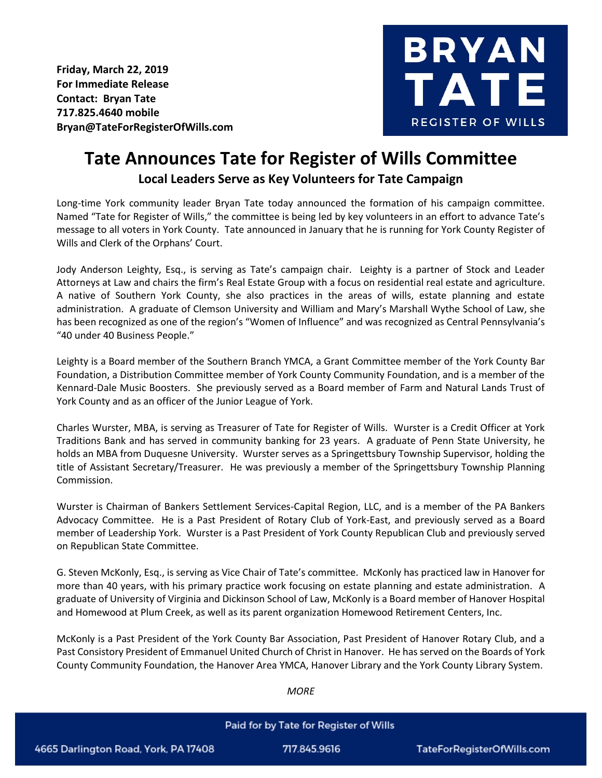**Friday, March 22, 2019 For Immediate Release Contact: Bryan Tate 717.825.4640 mobile Bryan@TateForRegisterOfWills.com**



## **Tate Announces Tate for Register of Wills Committee Local Leaders Serve as Key Volunteers for Tate Campaign**

Long-time York community leader Bryan Tate today announced the formation of his campaign committee. Named "Tate for Register of Wills," the committee is being led by key volunteers in an effort to advance Tate's message to all voters in York County. Tate announced in January that he is running for York County Register of Wills and Clerk of the Orphans' Court.

Jody Anderson Leighty, Esq., is serving as Tate's campaign chair. Leighty is a partner of Stock and Leader Attorneys at Law and chairs the firm's Real Estate Group with a focus on residential real estate and agriculture. A native of Southern York County, she also practices in the areas of wills, estate planning and estate administration. A graduate of Clemson University and William and Mary's Marshall Wythe School of Law, she has been recognized as one of the region's "Women of Influence" and was recognized as Central Pennsylvania's "40 under 40 Business People."

Leighty is a Board member of the Southern Branch YMCA, a Grant Committee member of the York County Bar Foundation, a Distribution Committee member of York County Community Foundation, and is a member of the Kennard-Dale Music Boosters. She previously served as a Board member of Farm and Natural Lands Trust of York County and as an officer of the Junior League of York.

Charles Wurster, MBA, is serving as Treasurer of Tate for Register of Wills. Wurster is a Credit Officer at York Traditions Bank and has served in community banking for 23 years. A graduate of Penn State University, he holds an MBA from Duquesne University. Wurster serves as a Springettsbury Township Supervisor, holding the title of Assistant Secretary/Treasurer. He was previously a member of the Springettsbury Township Planning Commission.

Wurster is Chairman of Bankers Settlement Services-Capital Region, LLC, and is a member of the PA Bankers Advocacy Committee. He is a Past President of Rotary Club of York-East, and previously served as a Board member of Leadership York. Wurster is a Past President of York County Republican Club and previously served on Republican State Committee.

G. Steven McKonly, Esq., is serving as Vice Chair of Tate's committee. McKonly has practiced law in Hanover for more than 40 years, with his primary practice work focusing on estate planning and estate administration. A graduate of University of Virginia and Dickinson School of Law, McKonly is a Board member of Hanover Hospital and Homewood at Plum Creek, as well as its parent organization Homewood Retirement Centers, Inc.

McKonly is a Past President of the York County Bar Association, Past President of Hanover Rotary Club, and a Past Consistory President of Emmanuel United Church of Christ in Hanover. He has served on the Boards of York County Community Foundation, the Hanover Area YMCA, Hanover Library and the York County Library System.

## Paid for by Tate for Register of Wills 4665 Darlington Road, York, PA 17408 717.845.9616 TateForRegisterOfWills.com

*MORE*